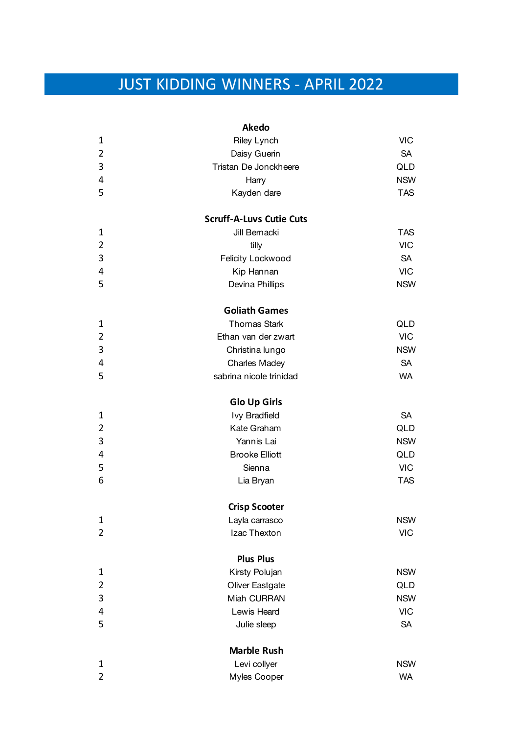# JUST KIDDING WINNERS - APRIL 2022

|                | <b>Akedo</b>                    |            |
|----------------|---------------------------------|------------|
| 1              | Riley Lynch                     | <b>VIC</b> |
| $\overline{2}$ | Daisy Guerin                    | <b>SA</b>  |
| 3              | Tristan De Jonckheere           | QLD        |
| 4              | Harry                           | <b>NSW</b> |
| 5              | Kayden dare                     | <b>TAS</b> |
|                | <b>Scruff-A-Luvs Cutie Cuts</b> |            |
| 1              | Jill Bernacki                   | <b>TAS</b> |
| 2              | tilly                           | <b>VIC</b> |
| 3              | Felicity Lockwood               | <b>SA</b>  |
| 4              | Kip Hannan                      | <b>VIC</b> |
| 5              | Devina Phillips                 | <b>NSW</b> |
|                | <b>Goliath Games</b>            |            |
| 1              | <b>Thomas Stark</b>             | QLD        |
| 2              | Ethan van der zwart             | <b>VIC</b> |
| 3              | Christina lungo                 | <b>NSW</b> |
| 4              | <b>Charles Madey</b>            | <b>SA</b>  |
| 5              | sabrina nicole trinidad         | <b>WA</b>  |
|                | <b>Glo Up Girls</b>             |            |
| 1              | <b>Ivy Bradfield</b>            | <b>SA</b>  |
| 2              | Kate Graham                     | QLD        |
| 3              | Yannis Lai                      | <b>NSW</b> |
| 4              | <b>Brooke Elliott</b>           | QLD        |
| 5              | Sienna                          | <b>VIC</b> |
| 6              | Lia Bryan                       | <b>TAS</b> |
|                | <b>Crisp Scooter</b>            |            |
| 1              | Layla carrasco                  | <b>NSW</b> |
| $\overline{2}$ | Izac Thexton                    | <b>VIC</b> |
|                | <b>Plus Plus</b>                |            |
| $\mathbf 1$    | Kirsty Polujan                  | <b>NSW</b> |
| $\overline{2}$ | Oliver Eastgate                 | QLD        |
| 3              | Miah CURRAN                     | <b>NSW</b> |
| 4              | Lewis Heard                     | <b>VIC</b> |
| 5              | Julie sleep                     | <b>SA</b>  |
|                | <b>Marble Rush</b>              |            |
| 1              | Levi collyer                    | <b>NSW</b> |
| 2              | Myles Cooper                    | <b>WA</b>  |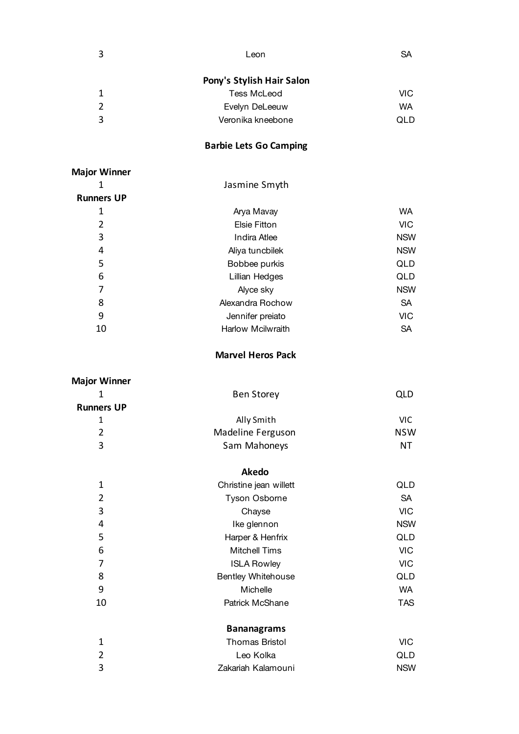### **Pony's Stylish Hair Salon**

|   | Tess McLeod       | VIC |
|---|-------------------|-----|
|   | Evelyn DeLeeuw    | WA  |
| 3 | Veronika kneebone | QLD |

#### **Barbie Lets Go Camping**

| <b>Major Winner</b> |                     |            |
|---------------------|---------------------|------------|
|                     | Jasmine Smyth       |            |
| <b>Runners UP</b>   |                     |            |
| 1                   | Arya Mavay          | WA         |
| 2                   | <b>Elsie Fitton</b> | <b>VIC</b> |
| 3                   | <b>Indira Atlee</b> | <b>NSW</b> |
| 4                   | Aliya tuncbilek     | <b>NSW</b> |
| 5                   | Bobbee purkis       | QLD        |
| 6                   | Lillian Hedges      | QLD        |
| 7                   | Alyce sky           | <b>NSW</b> |
| 8                   | Alexandra Rochow    | <b>SA</b>  |
| 9                   | Jennifer preiato    | <b>VIC</b> |
| 10                  | Harlow Mcilwraith   | <b>SA</b>  |
|                     |                     |            |

#### **Marvel Heros Pack**

| <b>Major Winner</b> |                           |            |
|---------------------|---------------------------|------------|
| 1                   | <b>Ben Storey</b>         | <b>QLD</b> |
| <b>Runners UP</b>   |                           |            |
| $\mathbf{1}$        | Ally Smith                | <b>VIC</b> |
| $\overline{2}$      | Madeline Ferguson         | <b>NSW</b> |
| 3                   | Sam Mahoneys              | NT         |
|                     | Akedo                     |            |
| $\mathbf{1}$        | Christine jean willett    | QLD        |
| $\overline{2}$      | <b>Tyson Osborne</b>      | <b>SA</b>  |
| 3                   | Chayse                    | <b>VIC</b> |
| 4                   | Ike glennon               | <b>NSW</b> |
| 5                   | Harper & Henfrix          | QLD        |
| 6                   | <b>Mitchell Tims</b>      | <b>VIC</b> |
| 7                   | <b>ISLA Rowley</b>        | <b>VIC</b> |
| 8                   | <b>Bentley Whitehouse</b> | QLD        |
| 9                   | Michelle                  | <b>WA</b>  |
| 10                  | Patrick McShane           | <b>TAS</b> |
|                     | <b>Bananagrams</b>        |            |
| $\mathbf{1}$        | <b>Thomas Bristol</b>     | <b>VIC</b> |
| $\overline{2}$      | Leo Kolka                 | QLD        |
| 3                   | Zakariah Kalamouni        | <b>NSW</b> |